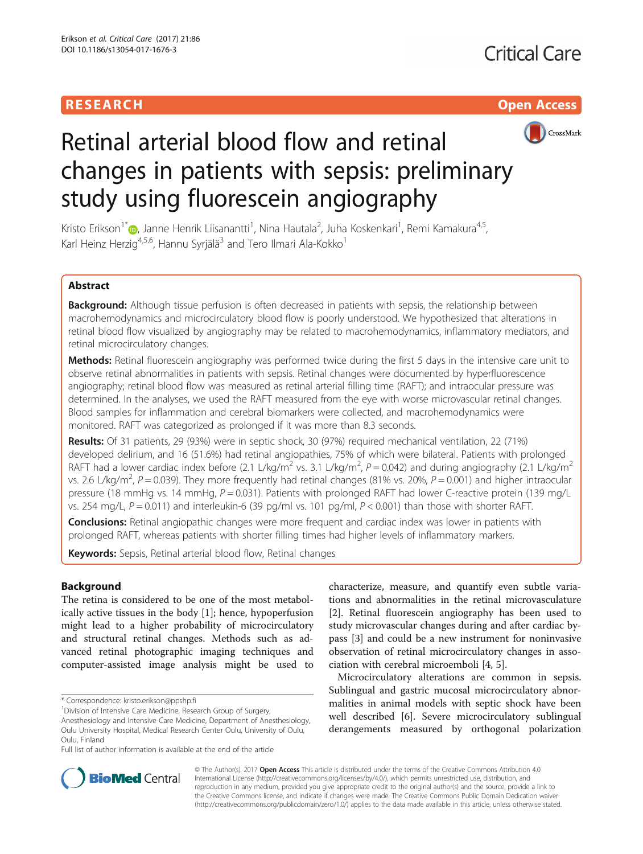# **RESEARCH CHILD CONTROL** CONTROL CONTROL CONTROL CONTROL CONTROL CONTROL CONTROL CONTROL CONTROL CONTROL CONTROL CONTROL CONTROL CONTROL CONTROL CONTROL CONTROL CONTROL CONTROL CONTROL CONTROL CONTROL CONTROL CONTROL CONTR



# Retinal arterial blood flow and retinal changes in patients with sepsis: preliminary study using fluorescein angiography

Kristo Erikson<sup>1</sup>\*®[,](http://orcid.org/0000-0002-0826-1366) Janne Henrik Liisanantti<sup>1</sup>, Nina Hautala<sup>2</sup>, Juha Koskenkari<sup>1</sup>, Remi Kamakura<sup>4,5</sup>, Karl Heinz Herzig<sup>4,5,6</sup>, Hannu Syrjälä<sup>3</sup> and Tero Ilmari Ala-Kokko<sup>1</sup>

# Abstract

Background: Although tissue perfusion is often decreased in patients with sepsis, the relationship between macrohemodynamics and microcirculatory blood flow is poorly understood. We hypothesized that alterations in retinal blood flow visualized by angiography may be related to macrohemodynamics, inflammatory mediators, and retinal microcirculatory changes.

Methods: Retinal fluorescein angiography was performed twice during the first 5 days in the intensive care unit to observe retinal abnormalities in patients with sepsis. Retinal changes were documented by hyperfluorescence angiography; retinal blood flow was measured as retinal arterial filling time (RAFT); and intraocular pressure was determined. In the analyses, we used the RAFT measured from the eye with worse microvascular retinal changes. Blood samples for inflammation and cerebral biomarkers were collected, and macrohemodynamics were monitored. RAFT was categorized as prolonged if it was more than 8.3 seconds.

Results: Of 31 patients, 29 (93%) were in septic shock, 30 (97%) required mechanical ventilation, 22 (71%) developed delirium, and 16 (51.6%) had retinal angiopathies, 75% of which were bilateral. Patients with prolonged RAFT had a lower cardiac index before (2.1 L/kg/m<sup>2</sup> vs. 3.1 L/kg/m<sup>2</sup>, P = 0.042) and during angiography (2.1 L/kg/m<sup>2</sup> vs. 2.6 L/kg/m<sup>2</sup>, P = 0.039). They more frequently had retinal changes (81% vs. 20%, P = 0.001) and higher intraocular pressure (18 mmHg vs. 14 mmHg, P = 0.031). Patients with prolonged RAFT had lower C-reactive protein (139 mg/L vs. 254 mg/L,  $P = 0.011$ ) and interleukin-6 (39 pg/ml vs. 101 pg/ml,  $P < 0.001$ ) than those with shorter RAFT.

**Conclusions:** Retinal angiopathic changes were more frequent and cardiac index was lower in patients with prolonged RAFT, whereas patients with shorter filling times had higher levels of inflammatory markers.

Keywords: Sepsis, Retinal arterial blood flow, Retinal changes

# **Background**

The retina is considered to be one of the most metabolically active tissues in the body [[1\]](#page-7-0); hence, hypoperfusion might lead to a higher probability of microcirculatory and structural retinal changes. Methods such as advanced retinal photographic imaging techniques and computer-assisted image analysis might be used to

<sup>1</sup> Division of Intensive Care Medicine, Research Group of Surgery,

Full list of author information is available at the end of the article

characterize, measure, and quantify even subtle variations and abnormalities in the retinal microvasculature [[2\]](#page-7-0). Retinal fluorescein angiography has been used to study microvascular changes during and after cardiac bypass [[3\]](#page-7-0) and could be a new instrument for noninvasive observation of retinal microcirculatory changes in association with cerebral microemboli [[4, 5\]](#page-7-0).

Microcirculatory alterations are common in sepsis. Sublingual and gastric mucosal microcirculatory abnormalities in animal models with septic shock have been well described [[6\]](#page-7-0). Severe microcirculatory sublingual derangements measured by orthogonal polarization



© The Author(s). 2017 **Open Access** This article is distributed under the terms of the Creative Commons Attribution 4.0 International License [\(http://creativecommons.org/licenses/by/4.0/](http://creativecommons.org/licenses/by/4.0/)), which permits unrestricted use, distribution, and reproduction in any medium, provided you give appropriate credit to the original author(s) and the source, provide a link to the Creative Commons license, and indicate if changes were made. The Creative Commons Public Domain Dedication waiver [\(http://creativecommons.org/publicdomain/zero/1.0/](http://creativecommons.org/publicdomain/zero/1.0/)) applies to the data made available in this article, unless otherwise stated.

<sup>\*</sup> Correspondence: [kristo.erikson@ppshp.fi](mailto:kristo.erikson@ppshp.fi) <sup>1</sup>

Anesthesiology and Intensive Care Medicine, Department of Anesthesiology, Oulu University Hospital, Medical Research Center Oulu, University of Oulu, Oulu, Finland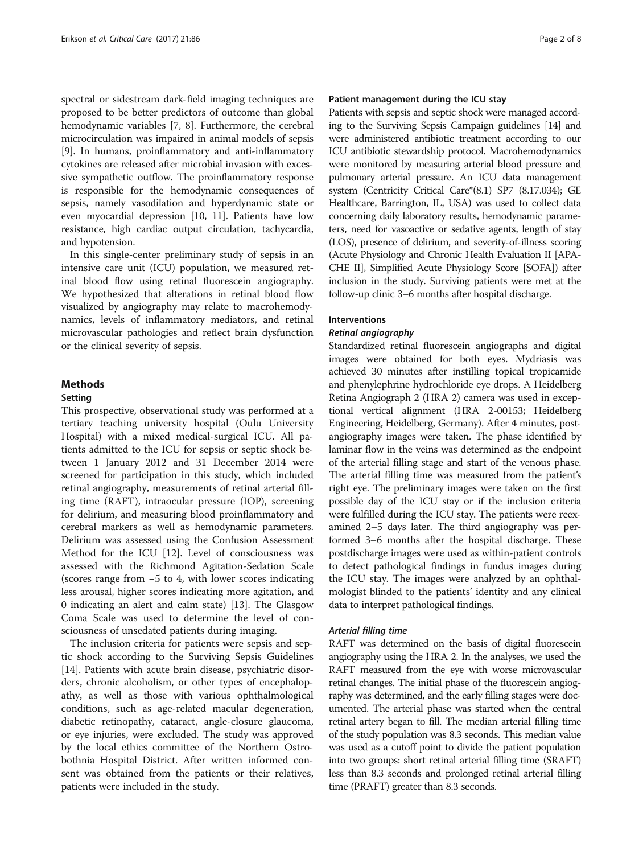spectral or sidestream dark-field imaging techniques are proposed to be better predictors of outcome than global hemodynamic variables [[7, 8](#page-7-0)]. Furthermore, the cerebral microcirculation was impaired in animal models of sepsis [[9\]](#page-7-0). In humans, proinflammatory and anti-inflammatory cytokines are released after microbial invasion with excessive sympathetic outflow. The proinflammatory response is responsible for the hemodynamic consequences of sepsis, namely vasodilation and hyperdynamic state or even myocardial depression [[10](#page-7-0), [11](#page-7-0)]. Patients have low resistance, high cardiac output circulation, tachycardia, and hypotension.

In this single-center preliminary study of sepsis in an intensive care unit (ICU) population, we measured retinal blood flow using retinal fluorescein angiography. We hypothesized that alterations in retinal blood flow visualized by angiography may relate to macrohemodynamics, levels of inflammatory mediators, and retinal microvascular pathologies and reflect brain dysfunction or the clinical severity of sepsis.

### Methods

#### Setting

This prospective, observational study was performed at a tertiary teaching university hospital (Oulu University Hospital) with a mixed medical-surgical ICU. All patients admitted to the ICU for sepsis or septic shock between 1 January 2012 and 31 December 2014 were screened for participation in this study, which included retinal angiography, measurements of retinal arterial filling time (RAFT), intraocular pressure (IOP), screening for delirium, and measuring blood proinflammatory and cerebral markers as well as hemodynamic parameters. Delirium was assessed using the Confusion Assessment Method for the ICU [[12\]](#page-7-0). Level of consciousness was assessed with the Richmond Agitation-Sedation Scale (scores range from −5 to 4, with lower scores indicating less arousal, higher scores indicating more agitation, and 0 indicating an alert and calm state) [[13\]](#page-7-0). The Glasgow Coma Scale was used to determine the level of consciousness of unsedated patients during imaging.

The inclusion criteria for patients were sepsis and septic shock according to the Surviving Sepsis Guidelines [[14\]](#page-7-0). Patients with acute brain disease, psychiatric disorders, chronic alcoholism, or other types of encephalopathy, as well as those with various ophthalmological conditions, such as age-related macular degeneration, diabetic retinopathy, cataract, angle-closure glaucoma, or eye injuries, were excluded. The study was approved by the local ethics committee of the Northern Ostrobothnia Hospital District. After written informed consent was obtained from the patients or their relatives, patients were included in the study.

#### Patient management during the ICU stay

Patients with sepsis and septic shock were managed according to the Surviving Sepsis Campaign guidelines [[14\]](#page-7-0) and were administered antibiotic treatment according to our ICU antibiotic stewardship protocol. Macrohemodynamics were monitored by measuring arterial blood pressure and pulmonary arterial pressure. An ICU data management system (Centricity Critical Care\*(8.1) SP7 (8.17.034); GE Healthcare, Barrington, IL, USA) was used to collect data concerning daily laboratory results, hemodynamic parameters, need for vasoactive or sedative agents, length of stay (LOS), presence of delirium, and severity-of-illness scoring (Acute Physiology and Chronic Health Evaluation II [APA-CHE II], Simplified Acute Physiology Score [SOFA]) after inclusion in the study. Surviving patients were met at the follow-up clinic 3–6 months after hospital discharge.

#### Interventions

Standardized retinal fluorescein angiographs and digital images were obtained for both eyes. Mydriasis was achieved 30 minutes after instilling topical tropicamide and phenylephrine hydrochloride eye drops. A Heidelberg Retina Angiograph 2 (HRA 2) camera was used in exceptional vertical alignment (HRA 2-00153; Heidelberg Engineering, Heidelberg, Germany). After 4 minutes, postangiography images were taken. The phase identified by laminar flow in the veins was determined as the endpoint of the arterial filling stage and start of the venous phase. The arterial filling time was measured from the patient's right eye. The preliminary images were taken on the first possible day of the ICU stay or if the inclusion criteria were fulfilled during the ICU stay. The patients were reexamined 2–5 days later. The third angiography was performed 3–6 months after the hospital discharge. These postdischarge images were used as within-patient controls to detect pathological findings in fundus images during the ICU stay. The images were analyzed by an ophthalmologist blinded to the patients' identity and any clinical data to interpret pathological findings.

RAFT was determined on the basis of digital fluorescein angiography using the HRA 2. In the analyses, we used the RAFT measured from the eye with worse microvascular retinal changes. The initial phase of the fluorescein angiography was determined, and the early filling stages were documented. The arterial phase was started when the central retinal artery began to fill. The median arterial filling time of the study population was 8.3 seconds. This median value was used as a cutoff point to divide the patient population into two groups: short retinal arterial filling time (SRAFT) less than 8.3 seconds and prolonged retinal arterial filling time (PRAFT) greater than 8.3 seconds.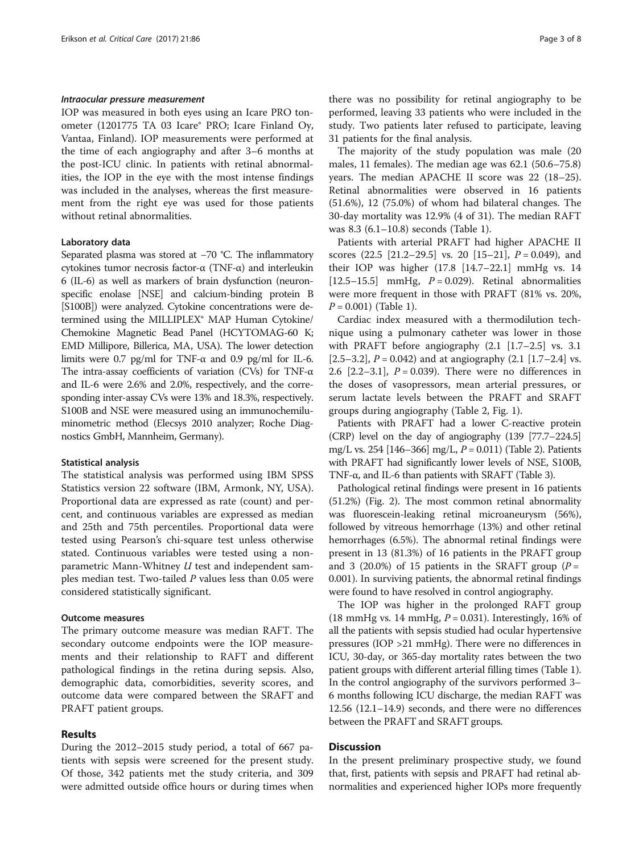IOP was measured in both eyes using an Icare PRO tonometer (1201775 TA 03 Icare® PRO; Icare Finland Oy, Vantaa, Finland). IOP measurements were performed at the time of each angiography and after 3–6 months at the post-ICU clinic. In patients with retinal abnormalities, the IOP in the eye with the most intense findings was included in the analyses, whereas the first measurement from the right eye was used for those patients without retinal abnormalities.

#### Laboratory data

Separated plasma was stored at −70 °C. The inflammatory cytokines tumor necrosis factor-α (TNF-α) and interleukin 6 (IL-6) as well as markers of brain dysfunction (neuronspecific enolase [NSE] and calcium-binding protein B [S100B]) were analyzed. Cytokine concentrations were determined using the MILLIPLEX® MAP Human Cytokine/ Chemokine Magnetic Bead Panel (HCYTOMAG-60 K; EMD Millipore, Billerica, MA, USA). The lower detection limits were 0.7 pg/ml for TNF- $\alpha$  and 0.9 pg/ml for IL-6. The intra-assay coefficients of variation (CVs) for TNF-α and IL-6 were 2.6% and 2.0%, respectively, and the corresponding inter-assay CVs were 13% and 18.3%, respectively. S100B and NSE were measured using an immunochemiluminometric method (Elecsys 2010 analyzer; Roche Diagnostics GmbH, Mannheim, Germany).

#### Statistical analysis

The statistical analysis was performed using IBM SPSS Statistics version 22 software (IBM, Armonk, NY, USA). Proportional data are expressed as rate (count) and percent, and continuous variables are expressed as median and 25th and 75th percentiles. Proportional data were tested using Pearson's chi-square test unless otherwise stated. Continuous variables were tested using a nonparametric Mann-Whitney U test and independent samples median test. Two-tailed  $P$  values less than 0.05 were considered statistically significant.

### Outcome measures

The primary outcome measure was median RAFT. The secondary outcome endpoints were the IOP measurements and their relationship to RAFT and different pathological findings in the retina during sepsis. Also, demographic data, comorbidities, severity scores, and outcome data were compared between the SRAFT and PRAFT patient groups.

### Results

During the 2012–2015 study period, a total of 667 patients with sepsis were screened for the present study. Of those, 342 patients met the study criteria, and 309 were admitted outside office hours or during times when

there was no possibility for retinal angiography to be performed, leaving 33 patients who were included in the study. Two patients later refused to participate, leaving 31 patients for the final analysis.

The majority of the study population was male (20 males, 11 females). The median age was 62.1 (50.6–75.8) years. The median APACHE II score was 22 (18–25). Retinal abnormalities were observed in 16 patients (51.6%), 12 (75.0%) of whom had bilateral changes. The 30-day mortality was 12.9% (4 of 31). The median RAFT was 8.3 (6.1–10.8) seconds (Table [1](#page-3-0)).

Patients with arterial PRAFT had higher APACHE II scores  $(22.5 \, [21.2-29.5]$  $(22.5 \, [21.2-29.5]$  $(22.5 \, [21.2-29.5]$  vs. 20  $[15-21]$  $[15-21]$  $[15-21]$ ,  $P = 0.049$ ), and their IOP was higher (17.8 [14.7–22.1] mmHg vs. 14 [12.5–15.5] mmHg,  $P = 0.029$ ). Retinal abnormalities were more frequent in those with PRAFT (81% vs. 20%,  $P = 0.001$ ) (Table [1\)](#page-3-0).

Cardiac index measured with a thermodilution technique using a pulmonary catheter was lower in those with PRAFT before angiography  $(2.1 \mid 1.7-2.5]$  vs. 3.1 [2.5–3.2],  $P = 0.042$ ) and at angiography (2.1 [1.7–2.4] vs. 2.6  $[2.2-3.1]$ ,  $P = 0.039$ ). There were no differences in the doses of vasopressors, mean arterial pressures, or serum lactate levels between the PRAFT and SRAFT groups during angiography (Table [2](#page-4-0), Fig. [1\)](#page-5-0).

Patients with PRAFT had a lower C-reactive protein (CRP) level on the day of angiography (139 [77.7–224.5] mg/L vs. 254 [146–366] mg/L,  $P = 0.011$ ) (Table [2\)](#page-4-0). Patients with PRAFT had significantly lower levels of NSE, S100B, TNF-α, and IL-6 than patients with SRAFT (Table [3](#page-5-0)).

Pathological retinal findings were present in 16 patients (51.2%) (Fig. [2](#page-6-0)). The most common retinal abnormality was fluorescein-leaking retinal microaneurysm (56%), followed by vitreous hemorrhage (13%) and other retinal hemorrhages (6.5%). The abnormal retinal findings were present in 13 (81.3%) of 16 patients in the PRAFT group and 3 (20.0%) of 15 patients in the SRAFT group ( $P =$ 0.001). In surviving patients, the abnormal retinal findings were found to have resolved in control angiography.

The IOP was higher in the prolonged RAFT group (18 mmHg vs. 14 mmHg,  $P = 0.031$ ). Interestingly, 16% of all the patients with sepsis studied had ocular hypertensive pressures (IOP >21 mmHg). There were no differences in ICU, 30-day, or 365-day mortality rates between the two patient groups with different arterial filling times (Table [1](#page-3-0)). In the control angiography of the survivors performed 3– 6 months following ICU discharge, the median RAFT was 12.56 (12.1–14.9) seconds, and there were no differences between the PRAFT and SRAFT groups.

#### **Discussion**

In the present preliminary prospective study, we found that, first, patients with sepsis and PRAFT had retinal abnormalities and experienced higher IOPs more frequently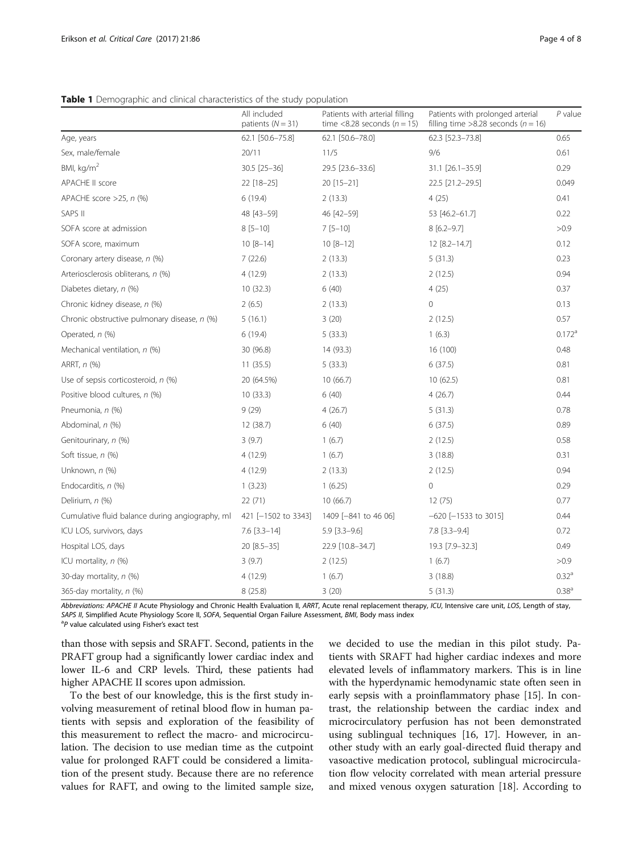<span id="page-3-0"></span>Table 1 Demographic and clinical characteristics of the study population

|                                                 | All included<br>patients $(N = 31)$ | Patients with arterial filling<br>time <8.28 seconds ( $n = 15$ ) | Patients with prolonged arterial<br>filling time >8.28 seconds ( $n = 16$ ) | $P$ value            |
|-------------------------------------------------|-------------------------------------|-------------------------------------------------------------------|-----------------------------------------------------------------------------|----------------------|
| Age, years                                      | 62.1 [50.6-75.8]                    | 62.1 [50.6-78.0]                                                  | 62.3 [52.3-73.8]                                                            | 0.65                 |
| Sex, male/female                                | 20/11                               | 11/5                                                              | 9/6                                                                         | 0.61                 |
| BMI, kg/m <sup>2</sup>                          | 30.5 [25-36]                        | 29.5 [23.6-33.6]                                                  | 31.1 [26.1-35.9]                                                            | 0.29                 |
| <b>APACHE II score</b>                          | 22 [18-25]                          | 20 [15-21]                                                        | 22.5 [21.2-29.5]                                                            | 0.049                |
| APACHE score $>25$ , n $(\%)$                   | 6(19.4)                             | 2(13.3)                                                           | 4(25)                                                                       | 0.41                 |
| SAPS II                                         | 48 [43-59]                          | 46 [42-59]                                                        | 53 [46.2-61.7]                                                              | 0.22                 |
| SOFA score at admission                         | $8[5 - 10]$                         | $7[5-10]$                                                         | $8[6.2 - 9.7]$                                                              | >0.9                 |
| SOFA score, maximum                             | $10 [8 - 14]$                       | $10 [8 - 12]$                                                     | 12 [8.2-14.7]                                                               | 0.12                 |
| Coronary artery disease, n (%)                  | 7(22.6)                             | 2(13.3)                                                           | 5(31.3)                                                                     | 0.23                 |
| Arteriosclerosis obliterans, n (%)              | 4(12.9)                             | 2(13.3)                                                           | 2(12.5)                                                                     | 0.94                 |
| Diabetes dietary, n (%)                         | 10(32.3)                            | 6(40)                                                             | 4(25)                                                                       | 0.37                 |
| Chronic kidney disease, n (%)                   | 2(6.5)                              | 2(13.3)                                                           | 0                                                                           | 0.13                 |
| Chronic obstructive pulmonary disease, n (%)    | 5(16.1)                             | 3(20)                                                             | 2(12.5)                                                                     | 0.57                 |
| Operated, n (%)                                 | 6(19.4)                             | 5(33.3)                                                           | 1(6.3)                                                                      | $0.172$ <sup>a</sup> |
| Mechanical ventilation, n (%)                   | 30 (96.8)                           | 14 (93.3)                                                         | 16 (100)                                                                    | 0.48                 |
| ARRT, n (%)                                     | 11(35.5)                            | 5(33.3)                                                           | 6(37.5)                                                                     | 0.81                 |
| Use of sepsis corticosteroid, $n$ (%)           | 20 (64.5%)                          | 10(66.7)                                                          | 10(62.5)                                                                    | 0.81                 |
| Positive blood cultures, n (%)                  | 10(33.3)                            | 6(40)                                                             | 4(26.7)                                                                     | 0.44                 |
| Pneumonia, n (%)                                | 9(29)                               | 4(26.7)                                                           | 5(31.3)                                                                     | 0.78                 |
| Abdominal, n (%)                                | 12 (38.7)                           | 6(40)                                                             | 6(37.5)                                                                     | 0.89                 |
| Genitourinary, n (%)                            | 3(9.7)                              | 1(6.7)                                                            | 2(12.5)                                                                     | 0.58                 |
| Soft tissue, n (%)                              | 4(12.9)                             | 1(6.7)                                                            | 3(18.8)                                                                     | 0.31                 |
| Unknown, n (%)                                  | 4(12.9)                             | 2(13.3)                                                           | 2(12.5)                                                                     | 0.94                 |
| Endocarditis, n (%)                             | 1(3.23)                             | 1(6.25)                                                           | $\mathbf{0}$                                                                | 0.29                 |
| Delirium, n (%)                                 | 22(71)                              | 10(66.7)                                                          | 12(75)                                                                      | 0.77                 |
| Cumulative fluid balance during angiography, ml | 421 [-1502 to 3343]                 | 1409 [-841 to 46 06]                                              | $-620$ $[-1533$ to 3015]                                                    | 0.44                 |
| ICU LOS, survivors, days                        | $7.6$ [3.3-14]                      | $5.9$ [3.3-9.6]                                                   | $7.8$ [3.3-9.4]                                                             | 0.72                 |
| Hospital LOS, days                              | 20 [8.5-35]                         | 22.9 [10.8-34.7]                                                  | 19.3 [7.9-32.3]                                                             | 0.49                 |
| ICU mortality, n (%)                            | 3(9.7)                              | 2(12.5)                                                           | 1(6.7)                                                                      | >0.9                 |
| 30-day mortality, n (%)                         | 4(12.9)                             | 1(6.7)                                                            | 3(18.8)                                                                     | 0.32 <sup>a</sup>    |
| 365-day mortality, n (%)                        | 8(25.8)                             | 3(20)                                                             | 5(31.3)                                                                     | 0.38 <sup>a</sup>    |

Abbreviations: APACHE II Acute Physiology and Chronic Health Evaluation II, ARRT, Acute renal replacement therapy, ICU, Intensive care unit, LOS, Length of stay, SAPS II, Simplified Acute Physiology Score II, SOFA, Sequential Organ Failure Assessment, BMI, Body mass index

<sup>a</sup>P value calculated using Fisher's exact test

than those with sepsis and SRAFT. Second, patients in the PRAFT group had a significantly lower cardiac index and lower IL-6 and CRP levels. Third, these patients had higher APACHE II scores upon admission.

To the best of our knowledge, this is the first study involving measurement of retinal blood flow in human patients with sepsis and exploration of the feasibility of this measurement to reflect the macro- and microcirculation. The decision to use median time as the cutpoint value for prolonged RAFT could be considered a limitation of the present study. Because there are no reference values for RAFT, and owing to the limited sample size,

we decided to use the median in this pilot study. Patients with SRAFT had higher cardiac indexes and more elevated levels of inflammatory markers. This is in line with the hyperdynamic hemodynamic state often seen in early sepsis with a proinflammatory phase [[15](#page-7-0)]. In contrast, the relationship between the cardiac index and microcirculatory perfusion has not been demonstrated using sublingual techniques [\[16, 17](#page-7-0)]. However, in another study with an early goal-directed fluid therapy and vasoactive medication protocol, sublingual microcirculation flow velocity correlated with mean arterial pressure and mixed venous oxygen saturation [\[18](#page-7-0)]. According to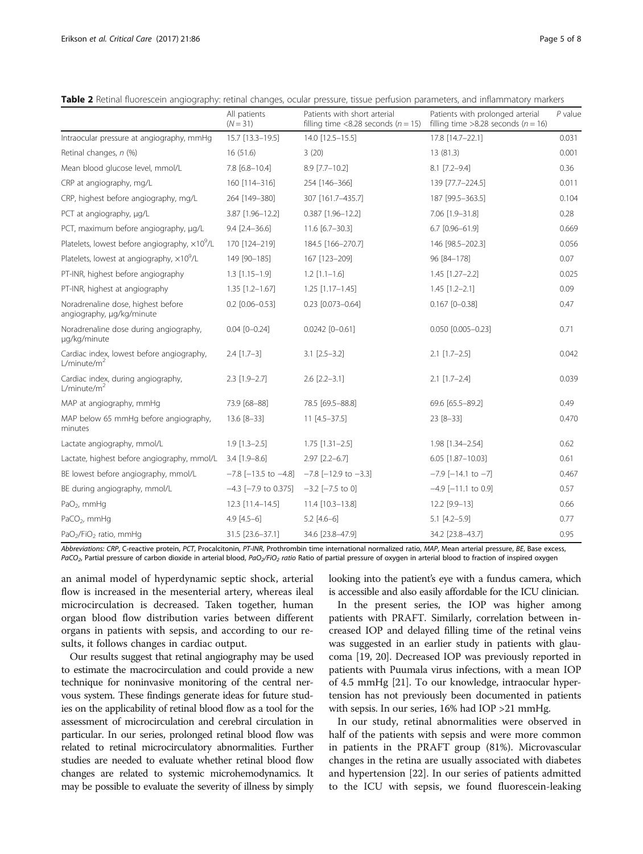<span id="page-4-0"></span>Table 2 Retinal fluorescein angiography: retinal changes, ocular pressure, tissue perfusion parameters, and inflammatory markers

|                                                                      | All patients<br>$(N = 31)$   | Patients with short arterial<br>filling time <8.28 seconds ( $n = 15$ ) | Patients with prolonged arterial<br>filling time >8.28 seconds ( $n = 16$ ) | $P$ value |
|----------------------------------------------------------------------|------------------------------|-------------------------------------------------------------------------|-----------------------------------------------------------------------------|-----------|
| Intraocular pressure at angiography, mmHg                            | 15.7 [13.3-19.5]             | 14.0 [12.5-15.5]                                                        | 17.8 [14.7-22.1]                                                            | 0.031     |
| Retinal changes, n (%)                                               | 16(51.6)                     | 3(20)                                                                   | 13 (81.3)                                                                   | 0.001     |
| Mean blood glucose level, mmol/L                                     | 7.8 [6.8-10.4]               | 8.9 [7.7-10.2]                                                          | $8.1$ [7.2-9.4]                                                             | 0.36      |
| CRP at angiography, mg/L                                             | 160 [114-316]                | 254 [146-366]                                                           | 139 [77.7-224.5]                                                            | 0.011     |
| CRP, highest before angiography, mg/L                                | 264 [149-380]                | 307 [161.7-435.7]                                                       | 187 [99.5-363.5]                                                            | 0.104     |
| PCT at angiography, µg/L                                             | 3.87 [1.96-12.2]             | $0.387$ [1.96-12.2]                                                     | 7.06 [1.9-31.8]                                                             | 0.28      |
| PCT, maximum before angiography, µg/L                                | $9.4$ $[2.4 - 36.6]$         | 11.6 [6.7-30.3]                                                         | 6.7 [0.96-61.9]                                                             | 0.669     |
| Platelets, lowest before angiography, $\times 10^9$ /L               | 170 [124-219]                | 184.5 [166-270.7]                                                       | 146 [98.5-202.3]                                                            | 0.056     |
| Platelets, lowest at angiography, $\times 10^9$ /L                   | 149 [90-185]                 | 167 [123-209]                                                           | 96 [84-178]                                                                 | 0.07      |
| PT-INR, highest before angiography                                   | $1.3$ $[1.15 - 1.9]$         | $1.2$ $[1.1 - 1.6]$                                                     | $1.45$ [1.27-2.2]                                                           | 0.025     |
| PT-INR, highest at angiography                                       | $1.35$ $[1.2 - 1.67]$        | $1.25$ [1.17-1.45]                                                      | $1.45$ [1.2-2.1]                                                            | 0.09      |
| Noradrenaline dose, highest before<br>angiography, µg/kg/minute      | $0.2$ [0.06-0.53]            | $0.23$ [0.073-0.64]                                                     | $0.167$ [0-0.38]                                                            | 0.47      |
| Noradrenaline dose during angiography,<br>µg/kg/minute               | $0.04$ $[0 - 0.24]$          | $0.0242$ [0-0.61]                                                       | 0.050 [0.005-0.23]                                                          | 0.71      |
| Cardiac index, lowest before angiography,<br>L/minute/m <sup>2</sup> | $2.4$ [1.7-3]                | $3.1$ $[2.5 - 3.2]$                                                     | $2.1$ [1.7-2.5]                                                             | 0.042     |
| Cardiac index, during angiography,<br>L/minute/m <sup>2</sup>        | $2.3$ [1.9-2.7]              | $2.6$ [ $2.2 - 3.1$ ]                                                   | $2.1$ [1.7-2.4]                                                             | 0.039     |
| MAP at angiography, mmHg                                             | 73.9 [68-88]                 | 78.5 [69.5-88.8]                                                        | 69.6 [65.5-89.2]                                                            | 0.49      |
| MAP below 65 mmHg before angiography,<br>minutes                     | 13.6 [8-33]                  | $11$ [4.5-37.5]                                                         | $23 [8 - 33]$                                                               | 0.470     |
| Lactate angiography, mmol/L                                          | $1.9$ $[1.3 - 2.5]$          | $1.75$ $[1.31 - 2.5]$                                                   | 1.98 [1.34-2.54]                                                            | 0.62      |
| Lactate, highest before angiography, mmol/L                          | $3.4$ [1.9-8.6]              | $2.97$ $[2.2-6.7]$                                                      | 6.05 [1.87-10.03]                                                           | 0.61      |
| BE lowest before angiography, mmol/L                                 | $-7.8$ [ $-13.5$ to $-4.8$ ] | $-7.8$ [ $-12.9$ to $-3.3$ ]                                            | $-7.9$ [ $-14.1$ to $-7$ ]                                                  | 0.467     |
| BE during angiography, mmol/L                                        | $-4.3$ [ $-7.9$ to 0.375]    | $-3.2$ $[-7.5$ to 0]                                                    | $-4.9$ [ $-11.1$ to 0.9]                                                    | 0.57      |
| PaO <sub>2</sub> , mmHq                                              | 12.3 [11.4-14.5]             | 11.4 [10.3-13.8]                                                        | 12.2 [9.9-13]                                                               | 0.66      |
| PaCO <sub>2</sub> , mmHg                                             | $4.9$ [ $4.5-6$ ]            | $5.2$ [4.6-6]                                                           | $5.1$ [4.2-5.9]                                                             | 0.77      |
| PaO <sub>2</sub> /FiO <sub>2</sub> ratio, mmHg                       | 31.5 [23.6-37.1]             | 34.6 [23.8-47.9]                                                        | 34.2 [23.8-43.7]                                                            | 0.95      |

Abbreviations: CRP, C-reactive protein, PCT, Procalcitonin, PT-INR, Prothrombin time international normalized ratio, MAP, Mean arterial pressure, BE, Base excess, PaCO<sub>2</sub>, Partial pressure of carbon dioxide in arterial blood, PaO<sub>2</sub>/FiO<sub>2</sub> ratio Ratio of partial pressure of oxygen in arterial blood to fraction of inspired oxygen

an animal model of hyperdynamic septic shock, arterial flow is increased in the mesenterial artery, whereas ileal microcirculation is decreased. Taken together, human organ blood flow distribution varies between different organs in patients with sepsis, and according to our results, it follows changes in cardiac output.

Our results suggest that retinal angiography may be used to estimate the macrocirculation and could provide a new technique for noninvasive monitoring of the central nervous system. These findings generate ideas for future studies on the applicability of retinal blood flow as a tool for the assessment of microcirculation and cerebral circulation in particular. In our series, prolonged retinal blood flow was related to retinal microcirculatory abnormalities. Further studies are needed to evaluate whether retinal blood flow changes are related to systemic microhemodynamics. It may be possible to evaluate the severity of illness by simply looking into the patient's eye with a fundus camera, which is accessible and also easily affordable for the ICU clinician.

In the present series, the IOP was higher among patients with PRAFT. Similarly, correlation between increased IOP and delayed filling time of the retinal veins was suggested in an earlier study in patients with glaucoma [\[19, 20\]](#page-7-0). Decreased IOP was previously reported in patients with Puumala virus infections, with a mean IOP of 4.5 mmHg [\[21\]](#page-7-0). To our knowledge, intraocular hypertension has not previously been documented in patients with sepsis. In our series, 16% had IOP >21 mmHg.

In our study, retinal abnormalities were observed in half of the patients with sepsis and were more common in patients in the PRAFT group (81%). Microvascular changes in the retina are usually associated with diabetes and hypertension [\[22](#page-7-0)]. In our series of patients admitted to the ICU with sepsis, we found fluorescein-leaking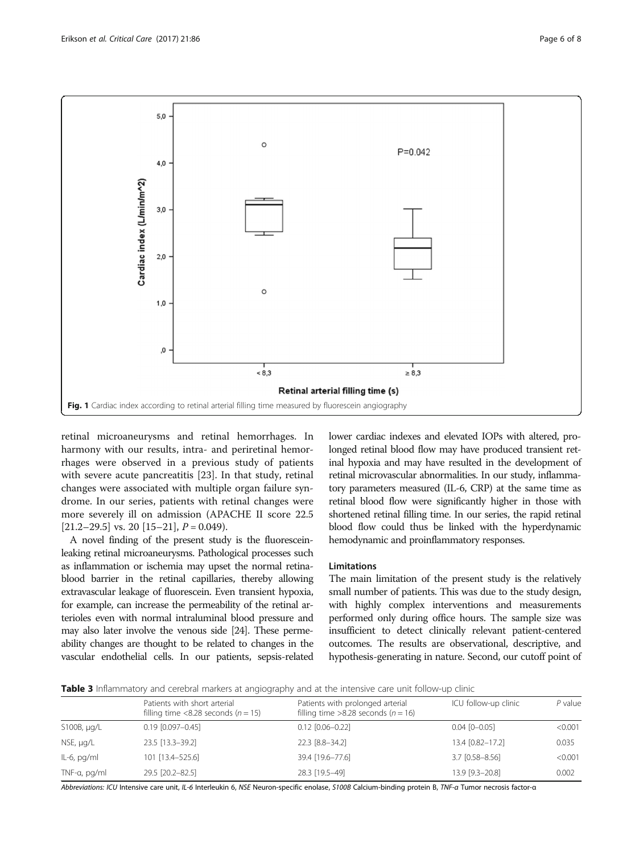

<span id="page-5-0"></span>

retinal microaneurysms and retinal hemorrhages. In harmony with our results, intra- and periretinal hemorrhages were observed in a previous study of patients with severe acute pancreatitis [\[23\]](#page-7-0). In that study, retinal changes were associated with multiple organ failure syndrome. In our series, patients with retinal changes were more severely ill on admission (APACHE II score 22.5  $[21.2–29.5]$  $[21.2–29.5]$  $[21.2–29.5]$  vs. 20  $[15–21]$  $[15–21]$  $[15–21]$ ,  $P = 0.049$ ).

A novel finding of the present study is the fluoresceinleaking retinal microaneurysms. Pathological processes such as inflammation or ischemia may upset the normal retinablood barrier in the retinal capillaries, thereby allowing extravascular leakage of fluorescein. Even transient hypoxia, for example, can increase the permeability of the retinal arterioles even with normal intraluminal blood pressure and may also later involve the venous side [\[24](#page-7-0)]. These permeability changes are thought to be related to changes in the vascular endothelial cells. In our patients, sepsis-related lower cardiac indexes and elevated IOPs with altered, prolonged retinal blood flow may have produced transient retinal hypoxia and may have resulted in the development of retinal microvascular abnormalities. In our study, inflammatory parameters measured (IL-6, CRP) at the same time as retinal blood flow were significantly higher in those with shortened retinal filling time. In our series, the rapid retinal blood flow could thus be linked with the hyperdynamic hemodynamic and proinflammatory responses.

#### Limitations

The main limitation of the present study is the relatively small number of patients. This was due to the study design, with highly complex interventions and measurements performed only during office hours. The sample size was insufficient to detect clinically relevant patient-centered outcomes. The results are observational, descriptive, and hypothesis-generating in nature. Second, our cutoff point of

Table 3 Inflammatory and cerebral markers at angiography and at the intensive care unit follow-up clinic

|                  | Patients with short arterial<br>filling time <8.28 seconds ( $n = 15$ ) | Patients with prolonged arterial<br>filling time >8.28 seconds ( $n = 16$ ) | ICU follow-up clinic | $P$ value |
|------------------|-------------------------------------------------------------------------|-----------------------------------------------------------------------------|----------------------|-----------|
| S100B, $\mu q/L$ | $0.19$ $[0.097 - 0.45]$                                                 | $0.12$ $[0.06 - 0.22]$                                                      | $0.04$ $[0 - 0.05]$  | < 0.001   |
| NSE, µg/L        | 23.5 [13.3-39.2]                                                        | 22.3 [8.8-34.2]                                                             | 13.4 [0.82-17.2]     | 0.035     |
| $IL-6$ , pg/ml   | 101 [13.4-525.6]                                                        | 39.4 [19.6-77.6]                                                            | $3.7$ [0.58-8.56]    | < 0.001   |
| TNF-a, pg/ml     | 29.5 [20.2-82.5]                                                        | 28.3 [19.5-49]                                                              | 13.9 [9.3-20.8]      | 0.002     |

Abbreviations: ICU Intensive care unit, IL-6 Interleukin 6, NSE Neuron-specific enolase, S100B Calcium-binding protein B, TNF-α Tumor necrosis factor-α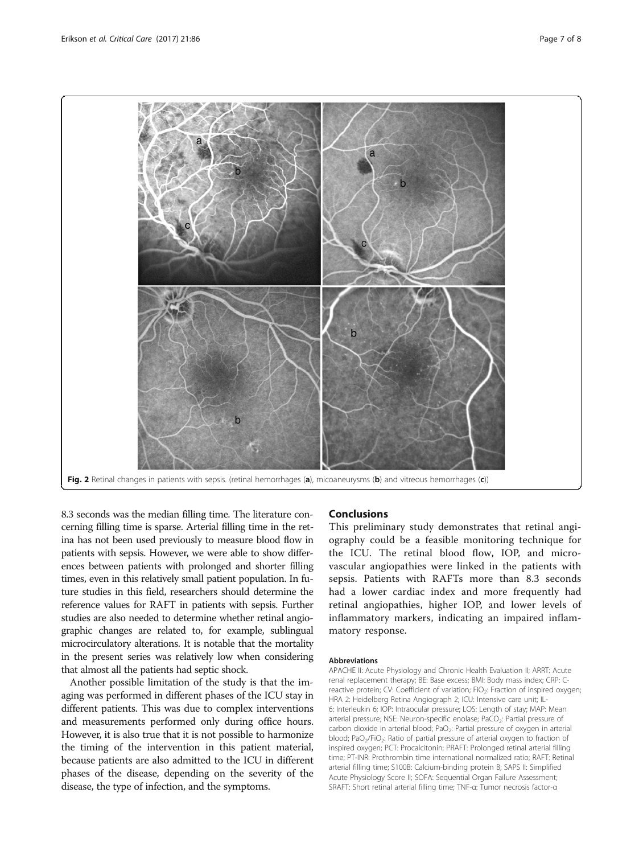<span id="page-6-0"></span>

8.3 seconds was the median filling time. The literature concerning filling time is sparse. Arterial filling time in the retina has not been used previously to measure blood flow in patients with sepsis. However, we were able to show differences between patients with prolonged and shorter filling times, even in this relatively small patient population. In future studies in this field, researchers should determine the reference values for RAFT in patients with sepsis. Further studies are also needed to determine whether retinal angiographic changes are related to, for example, sublingual microcirculatory alterations. It is notable that the mortality in the present series was relatively low when considering that almost all the patients had septic shock.

Another possible limitation of the study is that the imaging was performed in different phases of the ICU stay in different patients. This was due to complex interventions and measurements performed only during office hours. However, it is also true that it is not possible to harmonize the timing of the intervention in this patient material, because patients are also admitted to the ICU in different phases of the disease, depending on the severity of the disease, the type of infection, and the symptoms.

### Conclusions

This preliminary study demonstrates that retinal angiography could be a feasible monitoring technique for the ICU. The retinal blood flow, IOP, and microvascular angiopathies were linked in the patients with sepsis. Patients with RAFTs more than 8.3 seconds had a lower cardiac index and more frequently had retinal angiopathies, higher IOP, and lower levels of inflammatory markers, indicating an impaired inflammatory response.

#### Abbreviations

APACHE II: Acute Physiology and Chronic Health Evaluation II; ARRT: Acute renal replacement therapy; BE: Base excess; BMI: Body mass index; CRP: Creactive protein; CV: Coefficient of variation; FiO<sub>2</sub>: Fraction of inspired oxygen; HRA 2: Heidelberg Retina Angiograph 2; ICU: Intensive care unit; IL-6: Interleukin 6; IOP: Intraocular pressure; LOS: Length of stay; MAP: Mean arterial pressure; NSE: Neuron-specific enolase; PaCO<sub>2</sub>: Partial pressure of carbon dioxide in arterial blood; PaO<sub>2</sub>: Partial pressure of oxygen in arterial blood; PaO<sub>2</sub>/FiO<sub>2</sub>: Ratio of partial pressure of arterial oxygen to fraction of inspired oxygen; PCT: Procalcitonin; PRAFT: Prolonged retinal arterial filling time; PT-INR: Prothrombin time international normalized ratio; RAFT: Retinal arterial filling time; S100B: Calcium-binding protein B; SAPS II: Simplified Acute Physiology Score II; SOFA: Sequential Organ Failure Assessment; SRAFT: Short retinal arterial filling time; TNF-α: Tumor necrosis factor-α